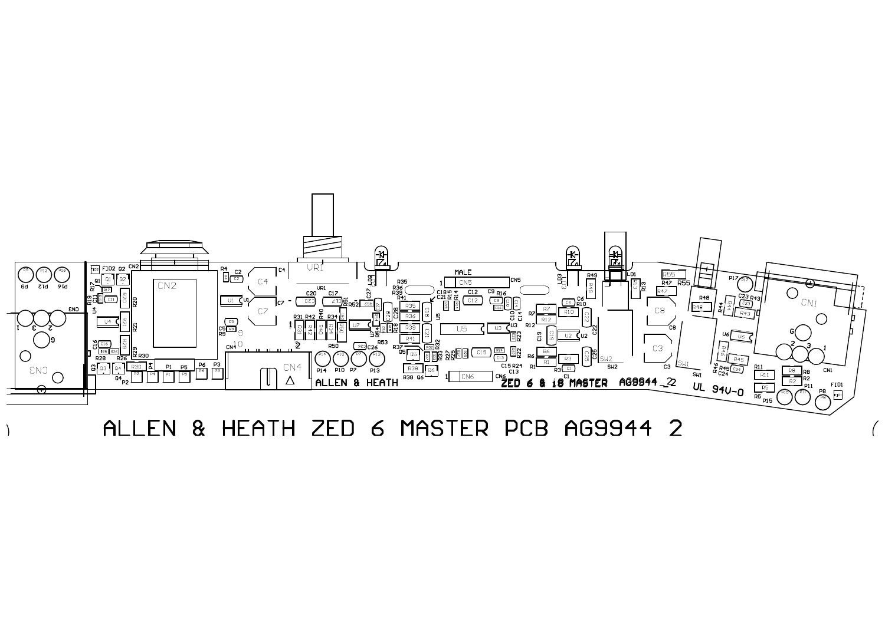

ALLEN & HEATH ZED 6 MASTER PCB AG9944 2

 $\lambda$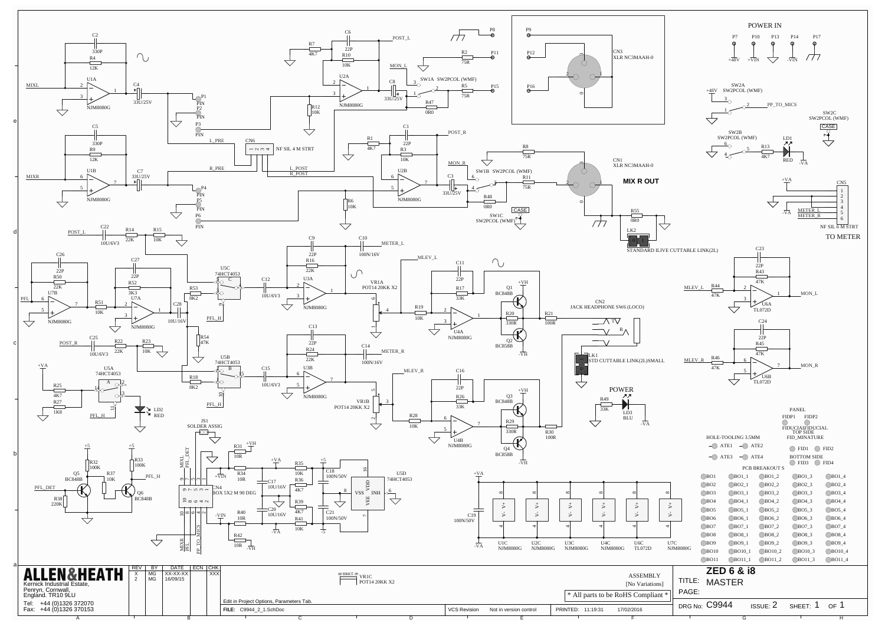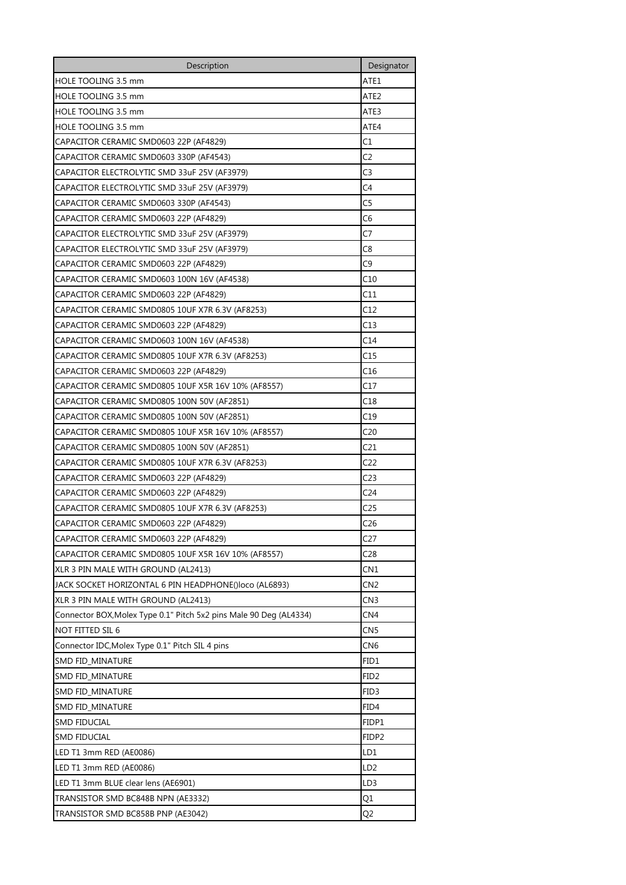| Description                                                        | Designator        |
|--------------------------------------------------------------------|-------------------|
| HOLE TOOLING 3.5 mm                                                | ATE1              |
| <b>HOLE TOOLING 3.5 mm</b>                                         | ATE2              |
| HOLE TOOLING 3.5 mm                                                | ATE3              |
| HOLE TOOLING 3.5 mm                                                | ATE4              |
| CAPACITOR CERAMIC SMD0603 22P (AF4829)                             | C1                |
| CAPACITOR CERAMIC SMD0603 330P (AF4543)                            | C2                |
| CAPACITOR ELECTROLYTIC SMD 33uF 25V (AF3979)                       | C <sub>3</sub>    |
| CAPACITOR ELECTROLYTIC SMD 33uF 25V (AF3979)                       | C4                |
| CAPACITOR CERAMIC SMD0603 330P (AF4543)                            | C5                |
| CAPACITOR CERAMIC SMD0603 22P (AF4829)                             | C6                |
| CAPACITOR ELECTROLYTIC SMD 33uF 25V (AF3979)                       | C7                |
| CAPACITOR ELECTROLYTIC SMD 33uF 25V (AF3979)                       | C8                |
| CAPACITOR CERAMIC SMD0603 22P (AF4829)                             | C9                |
| CAPACITOR CERAMIC SMD0603 100N 16V (AF4538)                        | C10               |
| CAPACITOR CERAMIC SMD0603 22P (AF4829)                             | C11               |
| CAPACITOR CERAMIC SMD0805 10UF X7R 6.3V (AF8253)                   | C12               |
| CAPACITOR CERAMIC SMD0603 22P (AF4829)                             | C13               |
| CAPACITOR CERAMIC SMD0603 100N 16V (AF4538)                        | C14               |
| CAPACITOR CERAMIC SMD0805 10UF X7R 6.3V (AF8253)                   | C15               |
| CAPACITOR CERAMIC SMD0603 22P (AF4829)                             | C16               |
| CAPACITOR CERAMIC SMD0805 10UF X5R 16V 10% (AF8557)                | C17               |
| CAPACITOR CERAMIC SMD0805 100N 50V (AF2851)                        | C18               |
| CAPACITOR CERAMIC SMD0805 100N 50V (AF2851)                        | C19               |
| CAPACITOR CERAMIC SMD0805 10UF X5R 16V 10% (AF8557)                | C <sub>20</sub>   |
| CAPACITOR CERAMIC SMD0805 100N 50V (AF2851)                        | C <sub>21</sub>   |
| CAPACITOR CERAMIC SMD0805 10UF X7R 6.3V (AF8253)                   | C22               |
| CAPACITOR CERAMIC SMD0603 22P (AF4829)                             | C <sub>23</sub>   |
| CAPACITOR CERAMIC SMD0603 22P (AF4829)                             | C24               |
| CAPACITOR CERAMIC SMD0805 10UF X7R 6.3V (AF8253)                   | C <sub>25</sub>   |
| CAPACITOR CERAMIC SMD0603 22P (AF4829)                             | C <sub>26</sub>   |
| CAPACITOR CERAMIC SMD0603 22P (AF4829)                             | C <sub>27</sub>   |
| CAPACITOR CERAMIC SMD0805 10UF X5R 16V 10% (AF8557)                | C <sub>28</sub>   |
| XLR 3 PIN MALE WITH GROUND (AL2413)                                | CN1               |
| JACK SOCKET HORIZONTAL 6 PIN HEADPHONE()loco (AL6893)              | CN <sub>2</sub>   |
| XLR 3 PIN MALE WITH GROUND (AL2413)                                | CN3               |
| Connector BOX, Molex Type 0.1" Pitch 5x2 pins Male 90 Deg (AL4334) | CN <sub>4</sub>   |
| NOT FITTED SIL 6                                                   | CN <sub>5</sub>   |
| Connector IDC, Molex Type 0.1" Pitch SIL 4 pins                    | CN <sub>6</sub>   |
| SMD FID_MINATURE                                                   | FID1              |
| SMD FID_MINATURE                                                   | FID <sub>2</sub>  |
| SMD FID_MINATURE                                                   | FID3              |
| SMD FID_MINATURE                                                   | FID4              |
| <b>SMD FIDUCIAL</b>                                                | FIDP1             |
| SMD FIDUCIAL                                                       | FIDP <sub>2</sub> |
| LED T1 3mm RED (AE0086)                                            | LD1               |
| LED T1 3mm RED (AE0086)                                            | LD <sub>2</sub>   |
| LED T1 3mm BLUE clear lens (AE6901)                                | LD3               |
| TRANSISTOR SMD BC848B NPN (AE3332)                                 | Q1                |
| TRANSISTOR SMD BC858B PNP (AE3042)                                 | Q2                |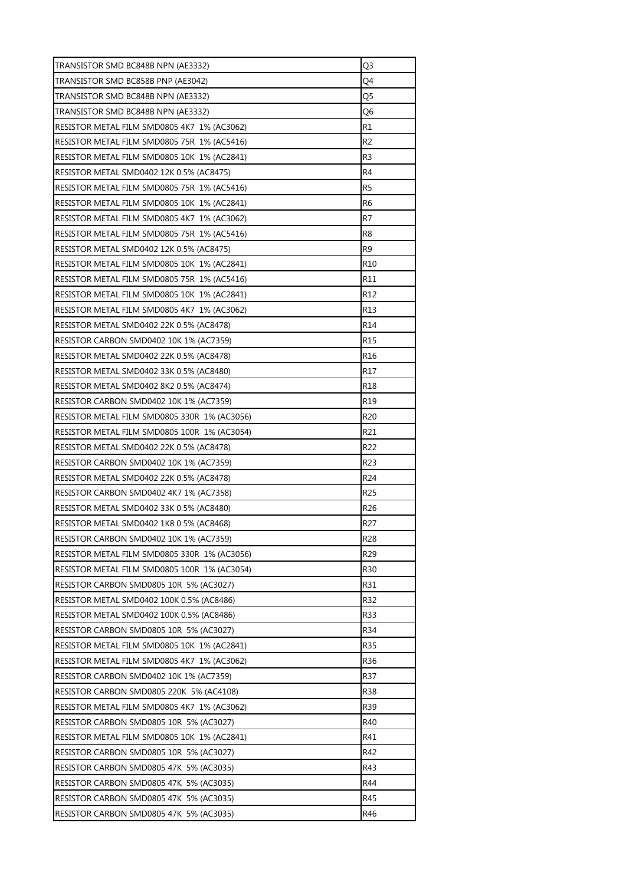| TRANSISTOR SMD BC848B NPN (AE3332)           | Q <sub>3</sub>  |
|----------------------------------------------|-----------------|
| TRANSISTOR SMD BC858B PNP (AE3042)           | Q4              |
| TRANSISTOR SMD BC848B NPN (AE3332)           | Q5              |
| TRANSISTOR SMD BC848B NPN (AE3332)           | Q <sub>6</sub>  |
| RESISTOR METAL FILM SMD0805 4K7 1% (AC3062)  | R1              |
| RESISTOR METAL FILM SMD0805 75R 1% (AC5416)  | R <sub>2</sub>  |
| RESISTOR METAL FILM SMD0805 10K 1% (AC2841)  | R <sub>3</sub>  |
| RESISTOR METAL SMD0402 12K 0.5% (AC8475)     | R4              |
| RESISTOR METAL FILM SMD0805 75R 1% (AC5416)  | R <sub>5</sub>  |
| RESISTOR METAL FILM SMD0805 10K 1% (AC2841)  | R6              |
| RESISTOR METAL FILM SMD0805 4K7 1% (AC3062)  | R7              |
| RESISTOR METAL FILM SMD0805 75R 1% (AC5416)  | R8              |
| RESISTOR METAL SMD0402 12K 0.5% (AC8475)     | R <sub>9</sub>  |
| RESISTOR METAL FILM SMD0805 10K 1% (AC2841)  | R <sub>10</sub> |
| RESISTOR METAL FILM SMD0805 75R 1% (AC5416)  | R11             |
| RESISTOR METAL FILM SMD0805 10K 1% (AC2841)  | R <sub>12</sub> |
| RESISTOR METAL FILM SMD0805 4K7 1% (AC3062)  | R13             |
| RESISTOR METAL SMD0402 22K 0.5% (AC8478)     | R14             |
| RESISTOR CARBON SMD0402 10K 1% (AC7359)      | R <sub>15</sub> |
| RESISTOR METAL SMD0402 22K 0.5% (AC8478)     | R <sub>16</sub> |
| RESISTOR METAL SMD0402 33K 0.5% (AC8480)     | R17             |
| RESISTOR METAL SMD0402 8K2 0.5% (AC8474)     | R18             |
| RESISTOR CARBON SMD0402 10K 1% (AC7359)      | R <sub>19</sub> |
| RESISTOR METAL FILM SMD0805 330R 1% (AC3056) | R <sub>20</sub> |
| RESISTOR METAL FILM SMD0805 100R 1% (AC3054) | R21             |
| RESISTOR METAL SMD0402 22K 0.5% (AC8478)     | R <sub>22</sub> |
| RESISTOR CARBON SMD0402 10K 1% (AC7359)      | R <sub>23</sub> |
| RESISTOR METAL SMD0402 22K 0.5% (AC8478)     | R <sub>24</sub> |
| RESISTOR CARBON SMD0402 4K7 1% (AC7358)      | R <sub>25</sub> |
| RESISTOR METAL SMD0402 33K 0.5% (AC8480)     | R <sub>26</sub> |
| RESISTOR METAL SMD0402 1K8 0.5% (AC8468)     | R <sub>27</sub> |
| RESISTOR CARBON SMD0402 10K 1% (AC7359)      | R28             |
| RESISTOR METAL FILM SMD0805 330R 1% (AC3056) | R <sub>29</sub> |
| RESISTOR METAL FILM SMD0805 100R 1% (AC3054) | R30             |
| RESISTOR CARBON SMD0805 10R 5% (AC3027)      | R31             |
| RESISTOR METAL SMD0402 100K 0.5% (AC8486)    | R32             |
| RESISTOR METAL SMD0402 100K 0.5% (AC8486)    | R33             |
| RESISTOR CARBON SMD0805 10R 5% (AC3027)      | R34             |
| RESISTOR METAL FILM SMD0805 10K 1% (AC2841)  | <b>R35</b>      |
| RESISTOR METAL FILM SMD0805 4K7 1% (AC3062)  | R36             |
| RESISTOR CARBON SMD0402 10K 1% (AC7359)      | R37             |
| RESISTOR CARBON SMD0805 220K 5% (AC4108)     | R38             |
| RESISTOR METAL FILM SMD0805 4K7 1% (AC3062)  | R39             |
| RESISTOR CARBON SMD0805 10R 5% (AC3027)      | R40             |
| RESISTOR METAL FILM SMD0805 10K 1% (AC2841)  | R41             |
| RESISTOR CARBON SMD0805 10R 5% (AC3027)      | R42             |
| RESISTOR CARBON SMD0805 47K 5% (AC3035)      | R43             |
| RESISTOR CARBON SMD0805 47K 5% (AC3035)      | R44             |
| RESISTOR CARBON SMD0805 47K 5% (AC3035)      | R45             |
| RESISTOR CARBON SMD0805 47K 5% (AC3035)      | R46             |